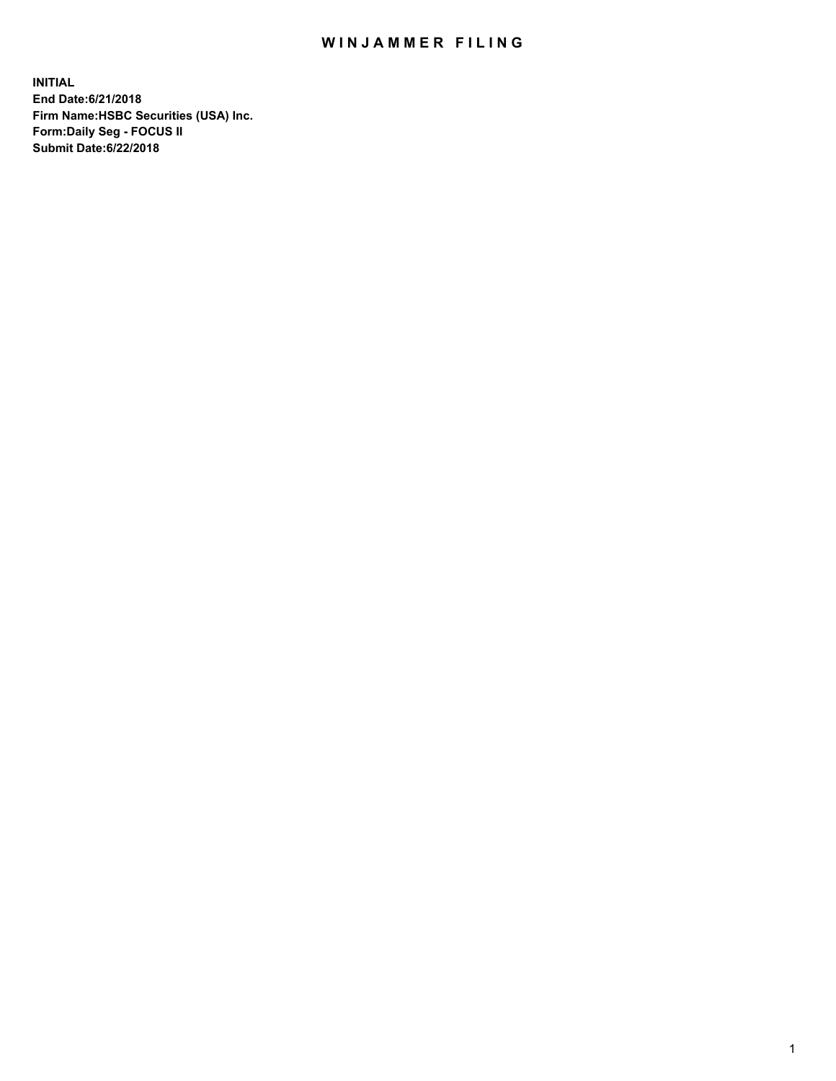## WIN JAMMER FILING

**INITIAL End Date:6/21/2018 Firm Name:HSBC Securities (USA) Inc. Form:Daily Seg - FOCUS II Submit Date:6/22/2018**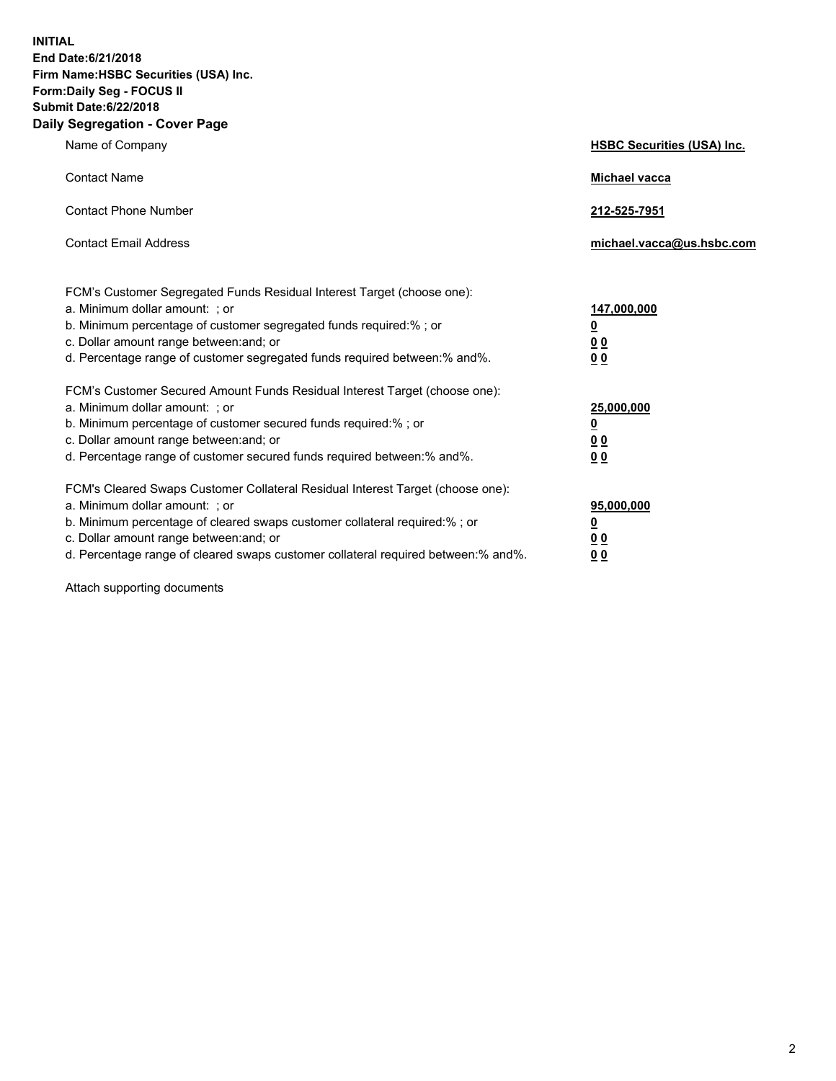**INITIAL End Date:6/21/2018 Firm Name:HSBC Securities (USA) Inc. Form:Daily Seg - FOCUS II Submit Date:6/22/2018 Daily Segregation - Cover Page**

| Name of Company                                                                                                                                                                                                                                                                                                                | <b>HSBC Securities (USA) Inc.</b>                                          |
|--------------------------------------------------------------------------------------------------------------------------------------------------------------------------------------------------------------------------------------------------------------------------------------------------------------------------------|----------------------------------------------------------------------------|
| <b>Contact Name</b>                                                                                                                                                                                                                                                                                                            | Michael vacca                                                              |
| <b>Contact Phone Number</b>                                                                                                                                                                                                                                                                                                    | 212-525-7951                                                               |
| <b>Contact Email Address</b>                                                                                                                                                                                                                                                                                                   | michael.vacca@us.hsbc.com                                                  |
| FCM's Customer Segregated Funds Residual Interest Target (choose one):<br>a. Minimum dollar amount: ; or<br>b. Minimum percentage of customer segregated funds required:% ; or<br>c. Dollar amount range between: and; or<br>d. Percentage range of customer segregated funds required between:% and%.                         | 147,000,000<br>$\overline{\mathbf{0}}$<br>0 <sub>0</sub><br>0 <sub>0</sub> |
| FCM's Customer Secured Amount Funds Residual Interest Target (choose one):<br>a. Minimum dollar amount: ; or<br>b. Minimum percentage of customer secured funds required:% ; or<br>c. Dollar amount range between: and; or<br>d. Percentage range of customer secured funds required between:% and%.                           | 25,000,000<br><u>0</u><br>0 <sub>0</sub><br>0 <sub>0</sub>                 |
| FCM's Cleared Swaps Customer Collateral Residual Interest Target (choose one):<br>a. Minimum dollar amount: ; or<br>b. Minimum percentage of cleared swaps customer collateral required:% ; or<br>c. Dollar amount range between: and; or<br>d. Percentage range of cleared swaps customer collateral required between:% and%. | 95,000,000<br><u>0</u><br>00<br>0 <sub>0</sub>                             |

Attach supporting documents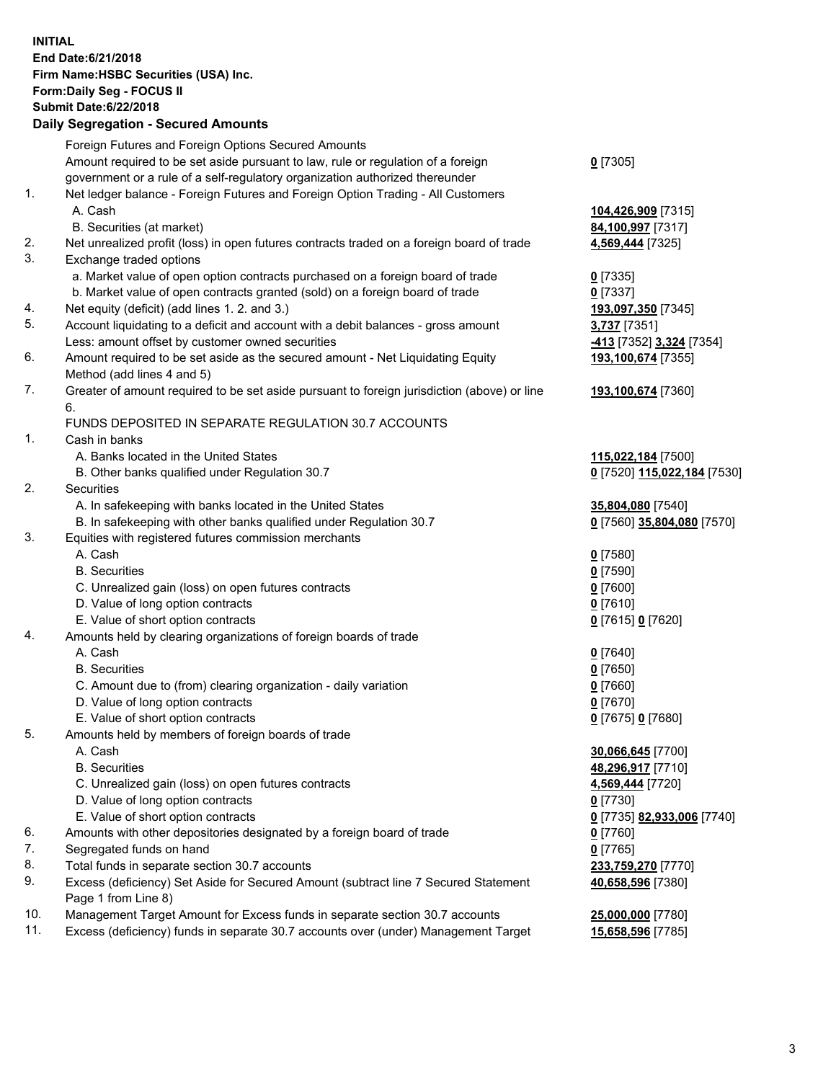**INITIAL End Date:6/21/2018 Firm Name:HSBC Securities (USA) Inc. Form:Daily Seg - FOCUS II Submit Date:6/22/2018 Daily Segregation - Secured Amounts**

Foreign Futures and Foreign Options Secured Amounts Amount required to be set aside pursuant to law, rule or regulation of a foreign government or a rule of a self-regulatory organization authorized thereunder **0** [7305] 1. Net ledger balance - Foreign Futures and Foreign Option Trading - All Customers A. Cash **104,426,909** [7315] B. Securities (at market) **84,100,997** [7317] 2. Net unrealized profit (loss) in open futures contracts traded on a foreign board of trade **4,569,444** [7325] 3. Exchange traded options a. Market value of open option contracts purchased on a foreign board of trade **0** [7335] b. Market value of open contracts granted (sold) on a foreign board of trade **0** [7337] 4. Net equity (deficit) (add lines 1. 2. and 3.) **193,097,350** [7345] 5. Account liquidating to a deficit and account with a debit balances - gross amount **3,737** [7351] Less: amount offset by customer owned securities **-413** [7352] **3,324** [7354] 6. Amount required to be set aside as the secured amount - Net Liquidating Equity Method (add lines 4 and 5) **193,100,674** [7355] 7. Greater of amount required to be set aside pursuant to foreign jurisdiction (above) or line 6. **193,100,674** [7360] FUNDS DEPOSITED IN SEPARATE REGULATION 30.7 ACCOUNTS 1. Cash in banks A. Banks located in the United States **115,022,184** [7500] B. Other banks qualified under Regulation 30.7 **0** [7520] **115,022,184** [7530] 2. Securities A. In safekeeping with banks located in the United States **35,804,080** [7540] B. In safekeeping with other banks qualified under Regulation 30.7 **0** [7560] **35,804,080** [7570] 3. Equities with registered futures commission merchants A. Cash **0** [7580] B. Securities **0** [7590] C. Unrealized gain (loss) on open futures contracts **0** [7600] D. Value of long option contracts **0** [7610] E. Value of short option contracts **0** [7615] **0** [7620] 4. Amounts held by clearing organizations of foreign boards of trade A. Cash **0** [7640] B. Securities **0** [7650] C. Amount due to (from) clearing organization - daily variation **0** [7660] D. Value of long option contracts **0** [7670] E. Value of short option contracts **0** [7675] **0** [7680] 5. Amounts held by members of foreign boards of trade A. Cash **30,066,645** [7700] B. Securities **48,296,917** [7710] C. Unrealized gain (loss) on open futures contracts **4,569,444** [7720] D. Value of long option contracts **0** [7730] E. Value of short option contracts **0** [7735] **82,933,006** [7740] 6. Amounts with other depositories designated by a foreign board of trade **0** [7760] 7. Segregated funds on hand **0** [7765] 8. Total funds in separate section 30.7 accounts **233,759,270** [7770] 9. Excess (deficiency) Set Aside for Secured Amount (subtract line 7 Secured Statement Page 1 from Line 8) **40,658,596** [7380] 10. Management Target Amount for Excess funds in separate section 30.7 accounts **25,000,000** [7780] 11. Excess (deficiency) funds in separate 30.7 accounts over (under) Management Target **15,658,596** [7785]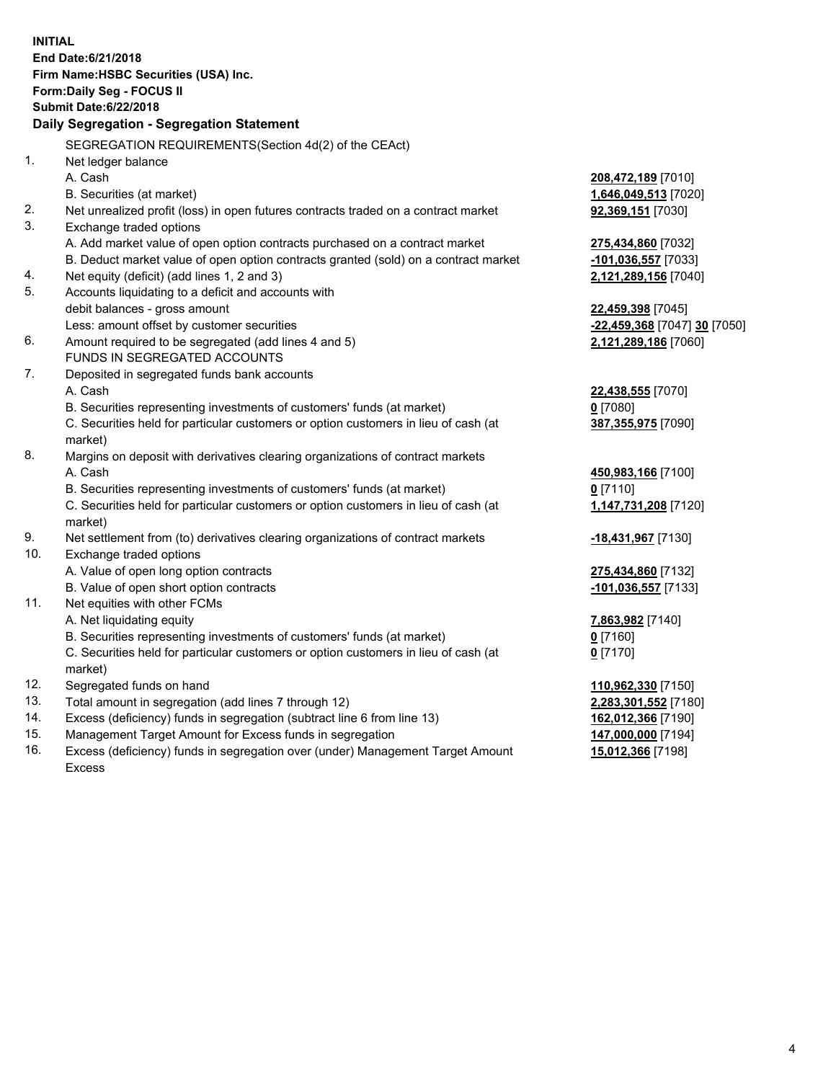|     | <b>INITIAL</b><br>End Date: 6/21/2018<br>Firm Name: HSBC Securities (USA) Inc.<br>Form: Daily Seg - FOCUS II<br><b>Submit Date:6/22/2018</b><br>Daily Segregation - Segregation Statement |                              |
|-----|-------------------------------------------------------------------------------------------------------------------------------------------------------------------------------------------|------------------------------|
|     | SEGREGATION REQUIREMENTS(Section 4d(2) of the CEAct)                                                                                                                                      |                              |
| 1.  | Net ledger balance                                                                                                                                                                        |                              |
|     | A. Cash                                                                                                                                                                                   | 208,472,189 [7010]           |
|     | B. Securities (at market)                                                                                                                                                                 | 1,646,049,513 [7020]         |
| 2.  | Net unrealized profit (loss) in open futures contracts traded on a contract market                                                                                                        | 92,369,151 [7030]            |
| 3.  | Exchange traded options                                                                                                                                                                   |                              |
|     | A. Add market value of open option contracts purchased on a contract market                                                                                                               | 275,434,860 [7032]           |
|     | B. Deduct market value of open option contracts granted (sold) on a contract market                                                                                                       | -101,036,557 [7033]          |
| 4.  | Net equity (deficit) (add lines 1, 2 and 3)                                                                                                                                               | 2,121,289,156 [7040]         |
| 5.  | Accounts liquidating to a deficit and accounts with                                                                                                                                       |                              |
|     | debit balances - gross amount                                                                                                                                                             | 22,459,398 [7045]            |
|     | Less: amount offset by customer securities                                                                                                                                                | -22,459,368 [7047] 30 [7050] |
| 6.  | Amount required to be segregated (add lines 4 and 5)                                                                                                                                      | 2,121,289,186 [7060]         |
|     | FUNDS IN SEGREGATED ACCOUNTS                                                                                                                                                              |                              |
| 7.  | Deposited in segregated funds bank accounts                                                                                                                                               |                              |
|     | A. Cash                                                                                                                                                                                   | 22,438,555 [7070]            |
|     | B. Securities representing investments of customers' funds (at market)                                                                                                                    | $0$ [7080]                   |
|     | C. Securities held for particular customers or option customers in lieu of cash (at                                                                                                       | 387,355,975 [7090]           |
|     | market)                                                                                                                                                                                   |                              |
| 8.  | Margins on deposit with derivatives clearing organizations of contract markets                                                                                                            |                              |
|     | A. Cash                                                                                                                                                                                   | 450,983,166 [7100]           |
|     | B. Securities representing investments of customers' funds (at market)                                                                                                                    | $0$ [7110]                   |
|     | C. Securities held for particular customers or option customers in lieu of cash (at<br>market)                                                                                            | 1,147,731,208 [7120]         |
| 9.  | Net settlement from (to) derivatives clearing organizations of contract markets                                                                                                           | -18,431,967 [7130]           |
| 10. | Exchange traded options                                                                                                                                                                   |                              |
|     | A. Value of open long option contracts                                                                                                                                                    | 275,434,860 [7132]           |
|     | B. Value of open short option contracts                                                                                                                                                   | -101,036,557 [7133]          |
| 11. | Net equities with other FCMs                                                                                                                                                              |                              |
|     | A. Net liquidating equity                                                                                                                                                                 | 7,863,982 [7140]             |
|     | B. Securities representing investments of customers' funds (at market)                                                                                                                    | $0$ [7160]                   |
|     | C. Securities held for particular customers or option customers in lieu of cash (at<br>market)                                                                                            | $0$ [7170]                   |
| 12. | Segregated funds on hand                                                                                                                                                                  | 110,962,330 [7150]           |
| 13. | Total amount in segregation (add lines 7 through 12)                                                                                                                                      | 2,283,301,552 [7180]         |
| 14. | Excess (deficiency) funds in segregation (subtract line 6 from line 13)                                                                                                                   | 162,012,366 [7190]           |
| 15. | Management Target Amount for Excess funds in segregation                                                                                                                                  | 147,000,000 [7194]           |
| 16. | Excess (deficiency) funds in segregation over (under) Management Target Amount                                                                                                            | 15,012,366 [7198]            |

16. Excess (deficiency) funds in segregation over (under) Management Target Amount Excess